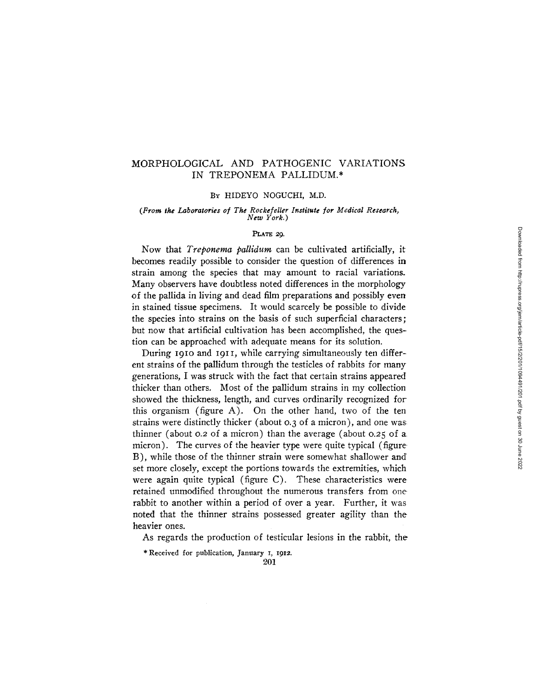# MORPHOLOGICAL AND PATHOGENIC VARIATIONS IN TREPONEMA PALLIDUM.\*

### BY HIDEYO NOGUCHI, M.D.

#### *(From the Laboratories of The Roeke/eller Institute /or Medical Researek, New York.)*

### **PLATE** 29.

Now that *Treponema pallidum* can be cultivated artificially, it becomes readily possible to consider the question of differences in strain among the species that may amount to racial variations. Many observers have doubtless noted differences in the morphology of the pallida in living and dead film preparations and possibly even in stained tissue specimens. It would scarcely be possible to divide the species into strains on the basis of such superficial characters; but now that artificial cultivation has been accomplished, the question can be approached with adequate means for its solution.

During I9Io and I9I I, while carrying simultaneously ten different strains of the pallidum through the testicles of rabbits for many generations, I was struck with the fact that certain strains appeared thicker than others. Most of the pallidum strains in my collection showed the thickness, length, and curves ordinarily recognized for this organism (figure A). On the other hand, two of the ten strains were distinctly thicker (about o.3 of a micron), and one was~ thinner (about 0.2 of a micron) than the average (about 0.25 of a micron). The curves of the heavier type were quite typical (figure. B), while those of the thinner strain were somewhat shallower and' set more closely, except the portions towards the extremities, which were again quite typical (figure C). These characteristics were retained unmodified throughout the numerous transfers from one rabbit to another within a period of over a year. Further, it was noted that the thinner strains possessed greater agility than the heavier ones.

As regards the production of testicular lesions in the rabbit, the

\* Received for publication, January I, I912.

201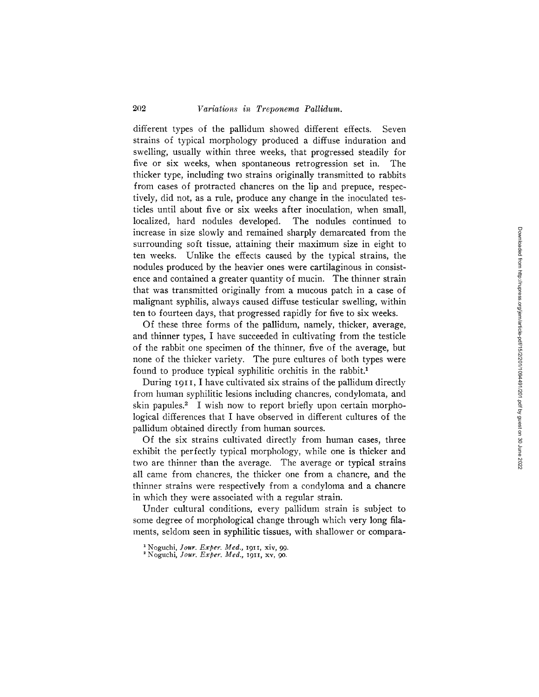different types of the pallidum showed different effects. Seven strains of typical morphology produced a diffuse induration and swelling, usually within three weeks, that progressed steadily for five or six weeks, when spontaneous retrogression set in. The thicker type, including two strains originally transmitted to rabbits from cases of protracted chancres on the lip and prepuce, respectively, did not, as a rule, produce any change in the inoculated testicles until about five or six weeks after inoculation, when small, localized, hard nodules developed. The nodules continued to increase in size slowly and remained sharply demarcated from the surrounding soft tissue, attaining their maximum size in eight to ten weeks. Unlike the effects caused by the typical strains, the nodules produced by the heavier ones were cartilaginous in consistence and contained a greater quantity of mucin. The thinner strain that was transmitted originally from a mucous patch in a case of malignant syphilis, always caused diffuse testicular swelling, within ten to fourteen days, that progressed rapidly for five to six weeks.

Of these three forms of the pallidum, namely, thicker, average, and thinner types, I have succeeded in cultivating from the testicle of the rabbit one specimen of the thinner, five of the average, but none of the thicker variety. The pure cultures of both types were found to produce typical syphilitic orchitis in the rabbit.<sup>1</sup>

During 1911, I have cultivated six strains of the pallidum directly from human syphilitic lesions including chancres, condylomata, and skin papules.<sup>2</sup> I wish now to report briefly upon certain morphological differences that I have observed in different cultures of the pallidum obtained directly from human sources.

Of the six strains cultivated directly from human cases, three exhibit the perfectly typical morphology, while one is thicker and two are thinner than the average. The average or typical strains all came from chancres, the thicker one from a chancre, and the thinner strains were respectively from a condyloma and a chancre in which they were associated with a regular strain.

Under cultural conditions, every pallidum strain is subject to some degree of morphological change through which very long filaments, seldom seen in syphilitic tissues, with shallower or compara-

<sup>1</sup> Noguchi, *Jour. Exper. Med.,* 191I, xiv, 99.

Noguchi, *]our. Exper. Med.,* 1911, xv, 9o.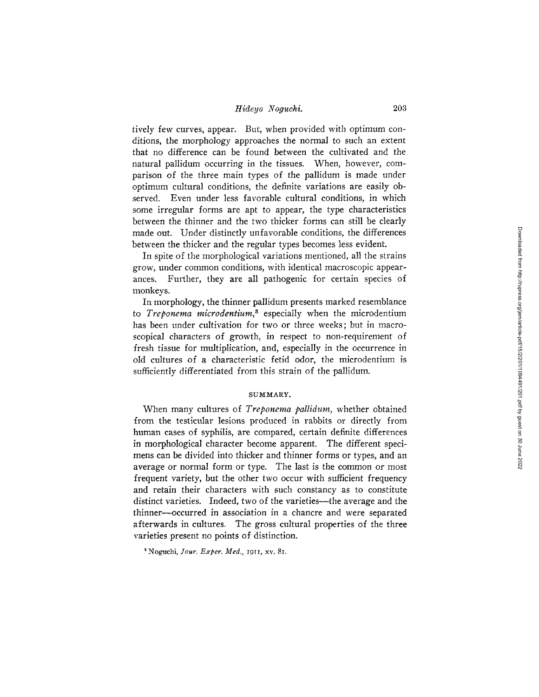## *Hideyo Noguchi.* 203

tively few curves, appear. But, when provided with optimum conditions, the morphology approaches the normal to such an extent that no difference can be found between the cultivated and the natural pallidum occurring in the tissues. When, however, comparison of the three main types of the pallidum is made under optimum cultural conditions, the definite variations are easily observed. Even under less favorable cultural conditions, in which some irregular forms are apt to appear, the type characteristics between the thinner and the two thicker forms can still be clearly made out. Under distinctly unfavorable conditions, the differences between the thicker and the regular types becomes less evident.

In spite of the morphological variations mentioned, all the strains grow, under common conditions, with identical macroscopic appearances. Further, they are all pathogenic for certain species of monkeys.

In morphology, the thinner pallidum presents marked resemblance to *Treponema microdentium, 8* especially when the microdentium has been under cultivation for two or three weeks; but in macroscopical characters of growth, in respect to non-requirement of fresh tissue for multiplication, and, especially in the occurrence in old cultures of a characteristic fetid odor, the microdentium is sufficiently differentiated from this strain of the pallidum.

#### SUMMARY.

When many cultures of *Treponema pallidum,* whether obtained from the testicular lesions produced in rabbits or directly from human cases of syphilis, are compared, certain definite differences in morphological character become apparent. The different specimens can be divided into thicker and thinner forms or types, and an average or normal form or type. The last is the common or most frequent variety, but' the other two occur with sufficient frequency and retain their characters with such constancy as to constitute distinct varieties. Indeed, two of the varieties—the average and the thinner--occurred in association in a chancre and were separated afterwards in cultures. The gross cultural properties of the three varieties present no points of distinction.

~ Noguehi, *Your. Exper. Med.,* 1911, xv, 81.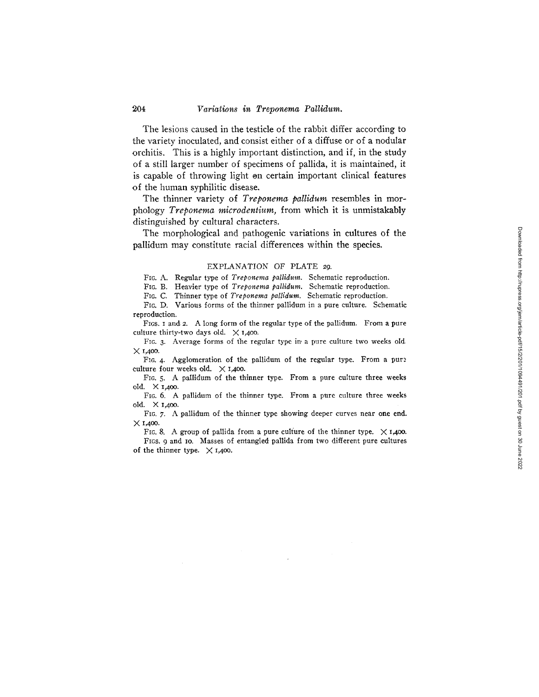The lesions caused in the testicle of the rabbit differ according to the variety inoculated, and consist either of a diffuse or of a nodular orchitis. This is a highly important distinction, and if, in the study of a still larger number of specimens of pallida, it is maintained, it is capable of throwing light on certain important clinical features of the human syphilitic disease.

The thinner variety of *Treponema pallidum* resembles in morphology *Treponema microdentium,* from which it is unmistakably distinguished by cultural characters.

The morphological and pathogenic variations in cultures of the pallidum may constitute racial differences within the species.

### EXPLANATION OF PLATE 29.

FIG. A. Regular type of *Treponema pallidum.* Schematic reproduction.

FIG. B. Heavier type of *Treponema pallidum*. Schematic reproduction.

FIG. C. Thinner type of *Treponema pallidum.* Schematic reproduction.

FIG. D. Various forms of the thinner pallidum in a pure culture. Schematic reproduction.

FIGS. I and 2. A long form of the regular type of the pallidum. From a pure culture thirty-two days old.  $\times$  1,400.

FIG. 3. Average forms of the regular type in a pure culture two weeks old.  $\times$  1,400.

FIG. 4. Agglomeration of the pallidum of the regular type. From a pure culture four weeks old.  $\times$  1,400.

FIG. 5. A pallidum of the thinner type. From a pure culture three weeks old.  $\times$  1,400.

FIG. 6. A pallidum of the thinner type. From a pure culture three weeks old. X 1,4oo.

FIG. 7. A pallidum of the thinner type showing deeper curves near one end.  $\times$  1.400.

FIG. 8. A group of pallida from a pure culture of the thinner type.  $\times$  1,400. FIGS. 9 and IO. Masses of entangled pallida from two different pure cultures of the thinner type.  $\times$  1,400.